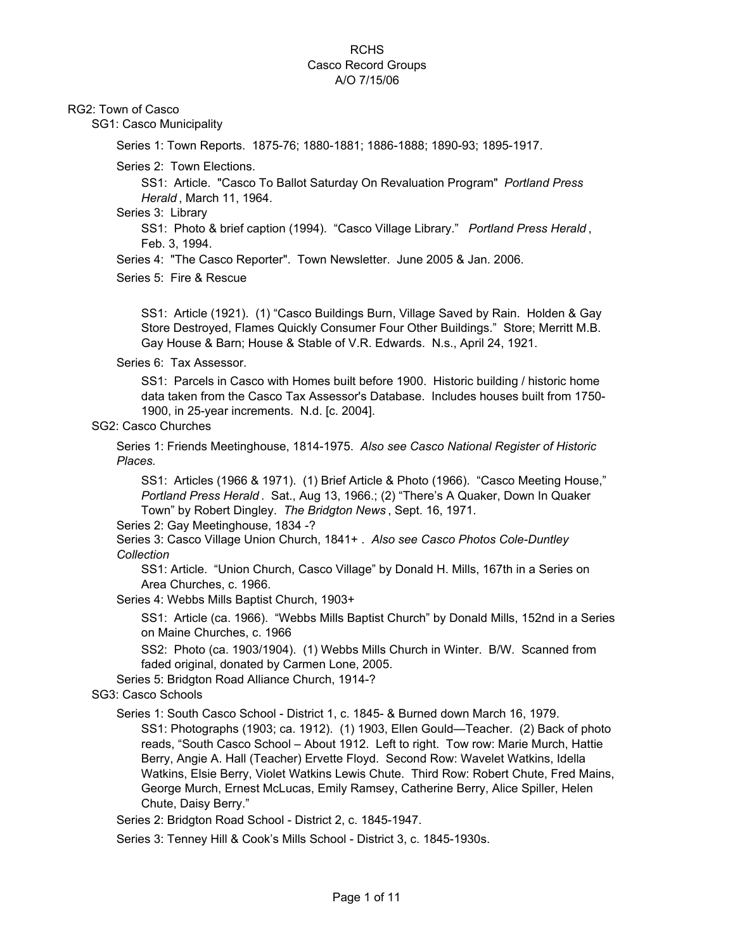#### RG2: Town of Casco

SG1: Casco Municipality

Series 1: Town Reports. 1875-76; 1880-1881; 1886-1888; 1890-93; 1895-1917.

Series 2: Town Elections.

SS1: Article. "Casco To Ballot Saturday On Revaluation Program" *Portland Press Herald* , March 11, 1964.

Series 3: Library

SS1: Photo & brief caption (1994). "Casco Village Library." *Portland Press Herald* , Feb. 3, 1994.

Series 4: "The Casco Reporter". Town Newsletter. June 2005 & Jan. 2006.

Series 5: Fire & Rescue

SS1: Article (1921). (1) "Casco Buildings Burn, Village Saved by Rain. Holden & Gay Store Destroyed, Flames Quickly Consumer Four Other Buildings." Store; Merritt M.B. Gay House & Barn; House & Stable of V.R. Edwards. N.s., April 24, 1921.

Series 6: Tax Assessor.

SS1: Parcels in Casco with Homes built before 1900. Historic building / historic home data taken from the Casco Tax Assessor's Database. Includes houses built from 1750- 1900, in 25-year increments. N.d. [c. 2004].

#### SG2: Casco Churches

Series 1: Friends Meetinghouse, 1814-1975. *Also see Casco National Register of Historic Places.*

SS1: Articles (1966 & 1971). (1) Brief Article & Photo (1966). "Casco Meeting House," *Portland Press Herald* . Sat., Aug 13, 1966.; (2) "There's A Quaker, Down In Quaker Town" by Robert Dingley. *The Bridgton News* , Sept. 16, 1971.

Series 2: Gay Meetinghouse, 1834 -?

Series 3: Casco Village Union Church, 1841+ . *Also see Casco Photos Cole-Duntley Collection*

SS1: Article. "Union Church, Casco Village" by Donald H. Mills, 167th in a Series on Area Churches, c. 1966.

Series 4: Webbs Mills Baptist Church, 1903+

SS1: Article (ca. 1966). "Webbs Mills Baptist Church" by Donald Mills, 152nd in a Series on Maine Churches, c. 1966

SS2: Photo (ca. 1903/1904). (1) Webbs Mills Church in Winter. B/W. Scanned from faded original, donated by Carmen Lone, 2005.

Series 5: Bridgton Road Alliance Church, 1914-?

SG3: Casco Schools

Series 1: South Casco School - District 1, c. 1845- & Burned down March 16, 1979. SS1: Photographs (1903; ca. 1912). (1) 1903, Ellen Gould—Teacher. (2) Back of photo reads, "South Casco School – About 1912. Left to right. Tow row: Marie Murch, Hattie Berry, Angie A. Hall (Teacher) Ervette Floyd. Second Row: Wavelet Watkins, Idella Watkins, Elsie Berry, Violet Watkins Lewis Chute. Third Row: Robert Chute, Fred Mains, George Murch, Ernest McLucas, Emily Ramsey, Catherine Berry, Alice Spiller, Helen Chute, Daisy Berry."

Series 2: Bridgton Road School - District 2, c. 1845-1947.

Series 3: Tenney Hill & Cook's Mills School - District 3, c. 1845-1930s.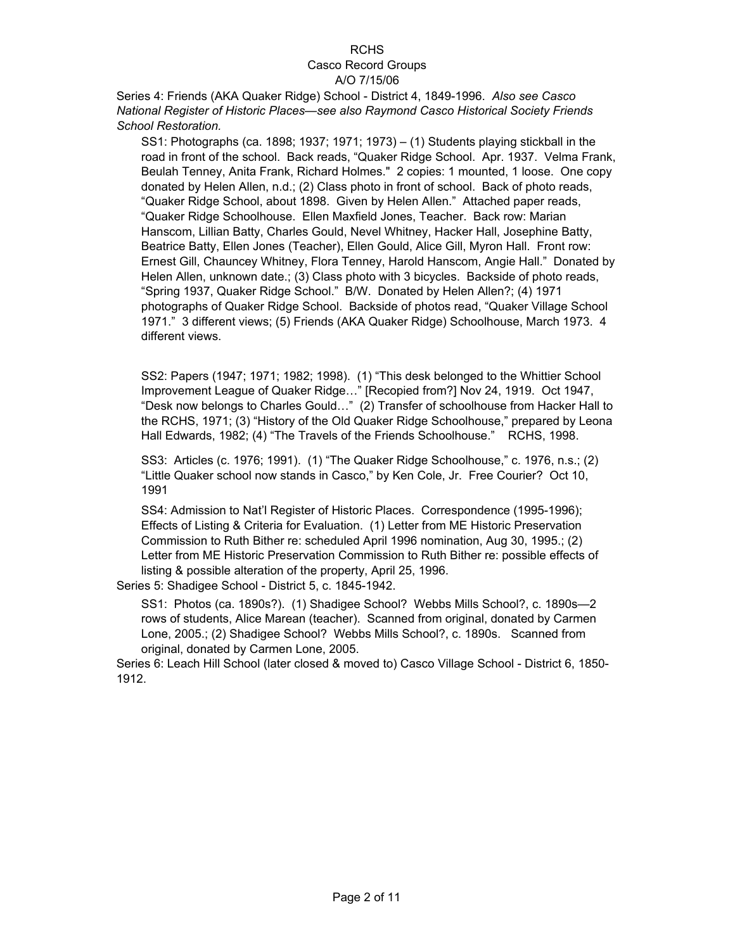# RCHS

# Casco Record Groups

### A/O 7/15/06

Series 4: Friends (AKA Quaker Ridge) School - District 4, 1849-1996. *Also see Casco National Register of Historic Places—see also Raymond Casco Historical Society Friends School Restoration.*

SS1: Photographs (ca. 1898; 1937; 1971; 1973) – (1) Students playing stickball in the road in front of the school. Back reads, "Quaker Ridge School. Apr. 1937. Velma Frank, Beulah Tenney, Anita Frank, Richard Holmes." 2 copies: 1 mounted, 1 loose. One copy donated by Helen Allen, n.d.; (2) Class photo in front of school. Back of photo reads, "Quaker Ridge School, about 1898. Given by Helen Allen." Attached paper reads, "Quaker Ridge Schoolhouse. Ellen Maxfield Jones, Teacher. Back row: Marian Hanscom, Lillian Batty, Charles Gould, Nevel Whitney, Hacker Hall, Josephine Batty, Beatrice Batty, Ellen Jones (Teacher), Ellen Gould, Alice Gill, Myron Hall. Front row: Ernest Gill, Chauncey Whitney, Flora Tenney, Harold Hanscom, Angie Hall." Donated by Helen Allen, unknown date.; (3) Class photo with 3 bicycles. Backside of photo reads, "Spring 1937, Quaker Ridge School." B/W. Donated by Helen Allen?; (4) 1971 photographs of Quaker Ridge School. Backside of photos read, "Quaker Village School 1971." 3 different views; (5) Friends (AKA Quaker Ridge) Schoolhouse, March 1973. 4 different views.

SS2: Papers (1947; 1971; 1982; 1998). (1) "This desk belonged to the Whittier School Improvement League of Quaker Ridge…" [Recopied from?] Nov 24, 1919. Oct 1947, "Desk now belongs to Charles Gould…" (2) Transfer of schoolhouse from Hacker Hall to the RCHS, 1971; (3) "History of the Old Quaker Ridge Schoolhouse," prepared by Leona Hall Edwards, 1982; (4) "The Travels of the Friends Schoolhouse." RCHS, 1998.

SS3: Articles (c. 1976; 1991). (1) "The Quaker Ridge Schoolhouse," c. 1976, n.s.; (2) "Little Quaker school now stands in Casco," by Ken Cole, Jr. Free Courier? Oct 10, 1991

SS4: Admission to Nat'l Register of Historic Places. Correspondence (1995-1996); Effects of Listing & Criteria for Evaluation. (1) Letter from ME Historic Preservation Commission to Ruth Bither re: scheduled April 1996 nomination, Aug 30, 1995.; (2) Letter from ME Historic Preservation Commission to Ruth Bither re: possible effects of listing & possible alteration of the property, April 25, 1996.

Series 5: Shadigee School - District 5, c. 1845-1942.

SS1: Photos (ca. 1890s?). (1) Shadigee School? Webbs Mills School?, c. 1890s—2 rows of students, Alice Marean (teacher). Scanned from original, donated by Carmen Lone, 2005.; (2) Shadigee School? Webbs Mills School?, c. 1890s. Scanned from original, donated by Carmen Lone, 2005.

Series 6: Leach Hill School (later closed & moved to) Casco Village School - District 6, 1850- 1912.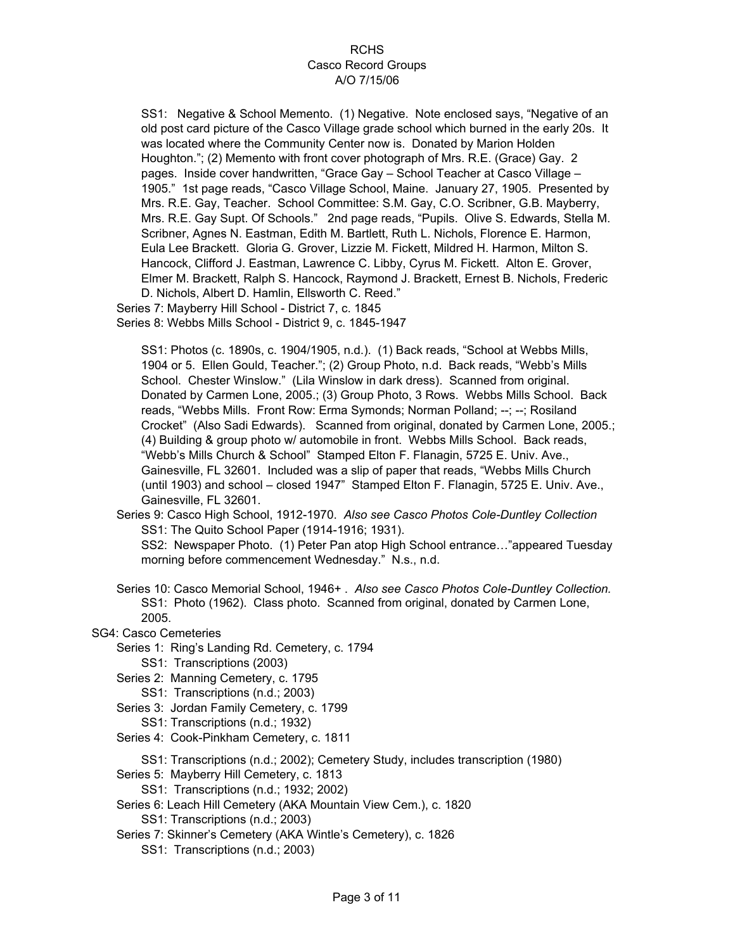SS1: Negative & School Memento. (1) Negative. Note enclosed says, "Negative of an old post card picture of the Casco Village grade school which burned in the early 20s. It was located where the Community Center now is. Donated by Marion Holden Houghton."; (2) Memento with front cover photograph of Mrs. R.E. (Grace) Gay. 2 pages. Inside cover handwritten, "Grace Gay – School Teacher at Casco Village – 1905." 1st page reads, "Casco Village School, Maine. January 27, 1905. Presented by Mrs. R.E. Gay, Teacher. School Committee: S.M. Gay, C.O. Scribner, G.B. Mayberry, Mrs. R.E. Gay Supt. Of Schools." 2nd page reads, "Pupils. Olive S. Edwards, Stella M. Scribner, Agnes N. Eastman, Edith M. Bartlett, Ruth L. Nichols, Florence E. Harmon, Eula Lee Brackett. Gloria G. Grover, Lizzie M. Fickett, Mildred H. Harmon, Milton S. Hancock, Clifford J. Eastman, Lawrence C. Libby, Cyrus M. Fickett. Alton E. Grover, Elmer M. Brackett, Ralph S. Hancock, Raymond J. Brackett, Ernest B. Nichols, Frederic D. Nichols, Albert D. Hamlin, Ellsworth C. Reed."

Series 8: Webbs Mills School - District 9, c. 1845-1947 Series 7: Mayberry Hill School - District 7, c. 1845

SS1: Photos (c. 1890s, c. 1904/1905, n.d.). (1) Back reads, "School at Webbs Mills, 1904 or 5. Ellen Gould, Teacher."; (2) Group Photo, n.d. Back reads, "Webb's Mills School. Chester Winslow." (Lila Winslow in dark dress). Scanned from original. Donated by Carmen Lone, 2005.; (3) Group Photo, 3 Rows. Webbs Mills School. Back reads, "Webbs Mills. Front Row: Erma Symonds; Norman Polland; --; --; Rosiland Crocket" (Also Sadi Edwards). Scanned from original, donated by Carmen Lone, 2005.; (4) Building & group photo w/ automobile in front. Webbs Mills School. Back reads, "Webb's Mills Church & School" Stamped Elton F. Flanagin, 5725 E. Univ. Ave., Gainesville, FL 32601. Included was a slip of paper that reads, "Webbs Mills Church (until 1903) and school – closed 1947" Stamped Elton F. Flanagin, 5725 E. Univ. Ave., Gainesville, FL 32601.

Series 9: Casco High School, 1912-1970. *Also see Casco Photos Cole-Duntley Collection* SS1: The Quito School Paper (1914-1916; 1931).

SS2: Newspaper Photo. (1) Peter Pan atop High School entrance…"appeared Tuesday morning before commencement Wednesday." N.s., n.d.

Series 10: Casco Memorial School, 1946+ . *Also see Casco Photos Cole-Duntley Collection.* SS1: Photo (1962). Class photo. Scanned from original, donated by Carmen Lone, 2005.

SG4: Casco Cemeteries

Series 1: Ring's Landing Rd. Cemetery, c. 1794

- SS1: Transcriptions (2003)
- Series 2: Manning Cemetery, c. 1795
	- SS1: Transcriptions (n.d.; 2003)
- Series 3: Jordan Family Cemetery, c. 1799
	- SS1: Transcriptions (n.d.; 1932)
- Series 4: Cook-Pinkham Cemetery, c. 1811
	- SS1: Transcriptions (n.d.; 2002); Cemetery Study, includes transcription (1980)

Series 5: Mayberry Hill Cemetery, c. 1813

- SS1: Transcriptions (n.d.; 1932; 2002)
- Series 6: Leach Hill Cemetery (AKA Mountain View Cem.), c. 1820
	- SS1: Transcriptions (n.d.; 2003)
- Series 7: Skinner's Cemetery (AKA Wintle's Cemetery), c. 1826
	- SS1: Transcriptions (n.d.; 2003)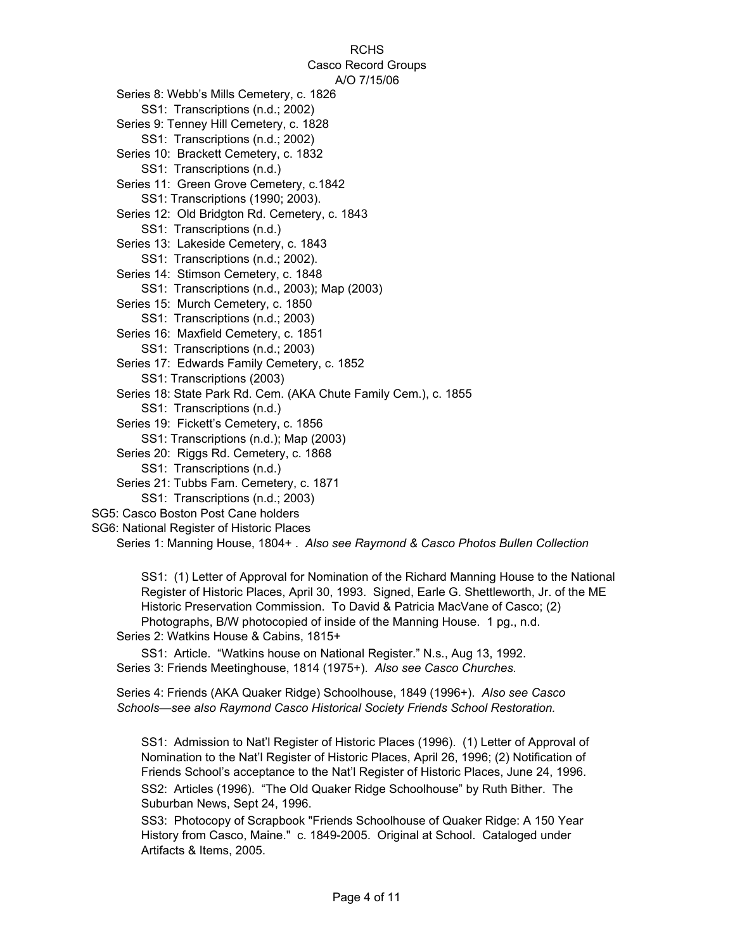RCHS Casco Record Groups A/O 7/15/06 SS1: Transcriptions (n.d.) SS1: Transcriptions (n.d.); Map (2003) SS1: Transcriptions (n.d.) SS1: Transcriptions (n.d.; 2003) Series 16: Maxfield Cemetery, c. 1851 Series 17: Edwards Family Cemetery, c. 1852 SS1: Transcriptions (n.d.; 2003) SS1: Transcriptions (2003) Series 13: Lakeside Cemetery, c. 1843 Series 14: Stimson Cemetery, c. 1848 SS1: Transcriptions (n.d.; 2002). SS1: Transcriptions (n.d., 2003); Map (2003) SS1: Transcriptions (n.d.; 2003) Series 20: Riggs Rd. Cemetery, c. 1868 Series 18: State Park Rd. Cem. (AKA Chute Family Cem.), c. 1855 SS1: Transcriptions (n.d.; 2002) SS1: Transcriptions (n.d.; 2002) Series 11: Green Grove Cemetery, c.1842 Series 12: Old Bridgton Rd. Cemetery, c. 1843 SS1: Transcriptions (n.d.) SS1: Transcriptions (1990; 2003). SS1: Transcriptions (n.d.) Series 19: Fickett's Cemetery, c. 1856 Series 15: Murch Cemetery, c. 1850 Series 9: Tenney Hill Cemetery, c. 1828 Series 10: Brackett Cemetery, c. 1832 Series 8: Webb's Mills Cemetery, c. 1826 Series 21: Tubbs Fam. Cemetery, c. 1871

- SG5: Casco Boston Post Cane holders
- SG6: National Register of Historic Places

Series 1: Manning House, 1804+ . *Also see Raymond & Casco Photos Bullen Collection*

SS1: (1) Letter of Approval for Nomination of the Richard Manning House to the National Register of Historic Places, April 30, 1993. Signed, Earle G. Shettleworth, Jr. of the ME Historic Preservation Commission. To David & Patricia MacVane of Casco; (2) Photographs, B/W photocopied of inside of the Manning House. 1 pg., n.d.

Series 2: Watkins House & Cabins, 1815+

SS1: Article. "Watkins house on National Register." N.s., Aug 13, 1992. Series 3: Friends Meetinghouse, 1814 (1975+). *Also see Casco Churches.*

Series 4: Friends (AKA Quaker Ridge) Schoolhouse, 1849 (1996+). *Also see Casco Schools—see also Raymond Casco Historical Society Friends School Restoration.*

SS1: Admission to Nat'l Register of Historic Places (1996). (1) Letter of Approval of Nomination to the Nat'l Register of Historic Places, April 26, 1996; (2) Notification of Friends School's acceptance to the Nat'l Register of Historic Places, June 24, 1996. SS2: Articles (1996). "The Old Quaker Ridge Schoolhouse" by Ruth Bither. The Suburban News, Sept 24, 1996.

SS3: Photocopy of Scrapbook "Friends Schoolhouse of Quaker Ridge: A 150 Year History from Casco, Maine." c. 1849-2005. Original at School. Cataloged under Artifacts & Items, 2005.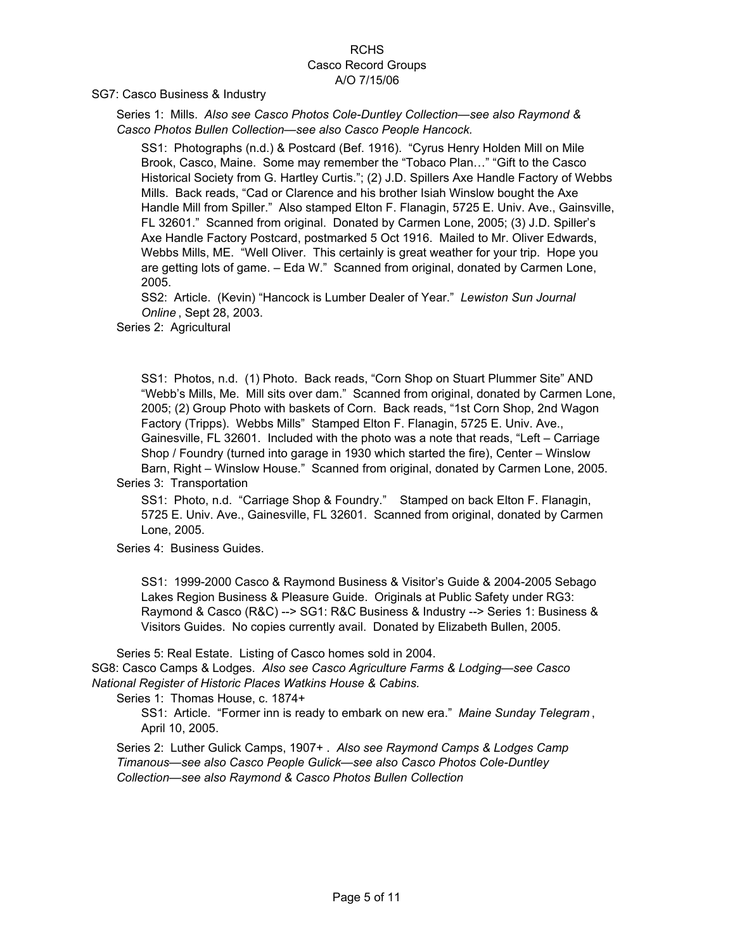SG7: Casco Business & Industry

Series 1: Mills. *Also see Casco Photos Cole-Duntley Collection—see also Raymond & Casco Photos Bullen Collection—see also Casco People Hancock.*

SS1: Photographs (n.d.) & Postcard (Bef. 1916). "Cyrus Henry Holden Mill on Mile Brook, Casco, Maine. Some may remember the "Tobaco Plan…" "Gift to the Casco Historical Society from G. Hartley Curtis."; (2) J.D. Spillers Axe Handle Factory of Webbs Mills. Back reads, "Cad or Clarence and his brother Isiah Winslow bought the Axe Handle Mill from Spiller." Also stamped Elton F. Flanagin, 5725 E. Univ. Ave., Gainsville, FL 32601." Scanned from original. Donated by Carmen Lone, 2005; (3) J.D. Spiller's Axe Handle Factory Postcard, postmarked 5 Oct 1916. Mailed to Mr. Oliver Edwards, Webbs Mills, ME. "Well Oliver. This certainly is great weather for your trip. Hope you are getting lots of game. – Eda W." Scanned from original, donated by Carmen Lone, 2005.

SS2: Article. (Kevin) "Hancock is Lumber Dealer of Year." *Lewiston Sun Journal Online* , Sept 28, 2003.

Series 2: Agricultural

SS1: Photos, n.d. (1) Photo. Back reads, "Corn Shop on Stuart Plummer Site" AND "Webb's Mills, Me. Mill sits over dam." Scanned from original, donated by Carmen Lone, 2005; (2) Group Photo with baskets of Corn. Back reads, "1st Corn Shop, 2nd Wagon Factory (Tripps). Webbs Mills" Stamped Elton F. Flanagin, 5725 E. Univ. Ave., Gainesville, FL 32601. Included with the photo was a note that reads, "Left – Carriage Shop / Foundry (turned into garage in 1930 which started the fire), Center – Winslow Barn, Right – Winslow House." Scanned from original, donated by Carmen Lone, 2005.

Series 3: Transportation

SS1: Photo, n.d. "Carriage Shop & Foundry." Stamped on back Elton F. Flanagin, 5725 E. Univ. Ave., Gainesville, FL 32601. Scanned from original, donated by Carmen Lone, 2005.

Series 4: Business Guides.

SS1: 1999-2000 Casco & Raymond Business & Visitor's Guide & 2004-2005 Sebago Lakes Region Business & Pleasure Guide. Originals at Public Safety under RG3: Raymond & Casco (R&C) --> SG1: R&C Business & Industry --> Series 1: Business & Visitors Guides. No copies currently avail. Donated by Elizabeth Bullen, 2005.

Series 5: Real Estate. Listing of Casco homes sold in 2004. SG8: Casco Camps & Lodges. *Also see Casco Agriculture Farms & Lodging—see Casco National Register of Historic Places Watkins House & Cabins.*

Series 1: Thomas House, c. 1874+

SS1: Article. "Former inn is ready to embark on new era." *Maine Sunday Telegram* , April 10, 2005.

Series 2: Luther Gulick Camps, 1907+ . *Also see Raymond Camps & Lodges Camp Timanous—see also Casco People Gulick—see also Casco Photos Cole-Duntley Collection—see also Raymond & Casco Photos Bullen Collection*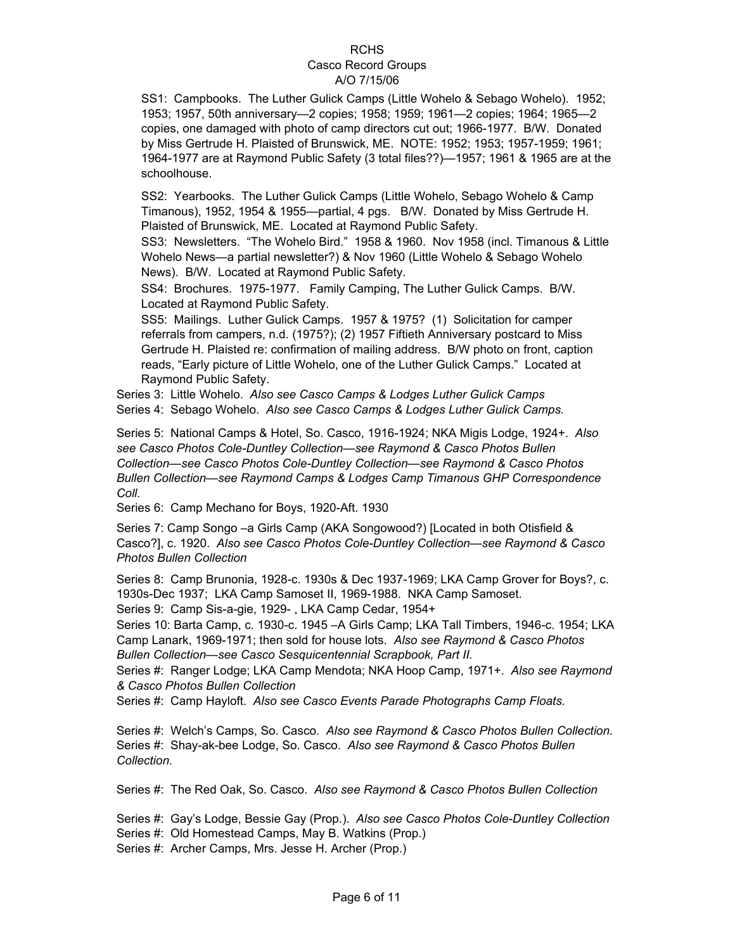SS1: Campbooks. The Luther Gulick Camps (Little Wohelo & Sebago Wohelo). 1952; 1953; 1957, 50th anniversary—2 copies; 1958; 1959; 1961—2 copies; 1964; 1965—2 copies, one damaged with photo of camp directors cut out; 1966-1977. B/W. Donated by Miss Gertrude H. Plaisted of Brunswick, ME. NOTE: 1952; 1953; 1957-1959; 1961; 1964-1977 are at Raymond Public Safety (3 total files??)—1957; 1961 & 1965 are at the schoolhouse.

SS2: Yearbooks. The Luther Gulick Camps (Little Wohelo, Sebago Wohelo & Camp Timanous), 1952, 1954 & 1955—partial, 4 pgs. B/W. Donated by Miss Gertrude H. Plaisted of Brunswick, ME. Located at Raymond Public Safety.

SS3: Newsletters. "The Wohelo Bird." 1958 & 1960. Nov 1958 (incl. Timanous & Little Wohelo News—a partial newsletter?) & Nov 1960 (Little Wohelo & Sebago Wohelo News). B/W. Located at Raymond Public Safety.

SS4: Brochures. 1975-1977. Family Camping, The Luther Gulick Camps. B/W. Located at Raymond Public Safety.

SS5: Mailings. Luther Gulick Camps. 1957 & 1975? (1) Solicitation for camper referrals from campers, n.d. (1975?); (2) 1957 Fiftieth Anniversary postcard to Miss Gertrude H. Plaisted re: confirmation of mailing address. B/W photo on front, caption reads, "Early picture of Little Wohelo, one of the Luther Gulick Camps." Located at Raymond Public Safety.

Series 3: Little Wohelo. *Also see Casco Camps & Lodges Luther Gulick Camps* Series 4: Sebago Wohelo. *Also see Casco Camps & Lodges Luther Gulick Camps.*

Series 5: National Camps & Hotel, So. Casco, 1916-1924; NKA Migis Lodge, 1924+. *Also see Casco Photos Cole-Duntley Collection—see Raymond & Casco Photos Bullen Collection—see Casco Photos Cole-Duntley Collection—see Raymond & Casco Photos Bullen Collection—see Raymond Camps & Lodges Camp Timanous GHP Correspondence Coll.*

Series 6: Camp Mechano for Boys, 1920-Aft. 1930

Series 7: Camp Songo –a Girls Camp (AKA Songowood?) [Located in both Otisfield & Casco?], c. 1920. *Also see Casco Photos Cole-Duntley Collection—see Raymond & Casco Photos Bullen Collection*

Series 8: Camp Brunonia, 1928-c. 1930s & Dec 1937-1969; LKA Camp Grover for Boys?, c. 1930s-Dec 1937; LKA Camp Samoset II, 1969-1988. NKA Camp Samoset. Series 9: Camp Sis-a-gie, 1929- , LKA Camp Cedar, 1954+

Series 10: Barta Camp, c. 1930-c. 1945 –A Girls Camp; LKA Tall Timbers, 1946-c. 1954; LKA Camp Lanark, 1969-1971; then sold for house lots. *Also see Raymond & Casco Photos Bullen Collection—see Casco Sesquicentennial Scrapbook, Part II.*

Series #: Ranger Lodge; LKA Camp Mendota; NKA Hoop Camp, 1971+. *Also see Raymond & Casco Photos Bullen Collection*

Series #: Camp Hayloft. *Also see Casco Events Parade Photographs Camp Floats.*

Series #: Welch's Camps, So. Casco. *Also see Raymond & Casco Photos Bullen Collection.* Series #: Shay-ak-bee Lodge, So. Casco. *Also see Raymond & Casco Photos Bullen Collection.*

Series #: The Red Oak, So. Casco. *Also see Raymond & Casco Photos Bullen Collection*

Series #: Gay's Lodge, Bessie Gay (Prop.). *Also see Casco Photos Cole-Duntley Collection* Series #: Old Homestead Camps, May B. Watkins (Prop.)

Series #: Archer Camps, Mrs. Jesse H. Archer (Prop.)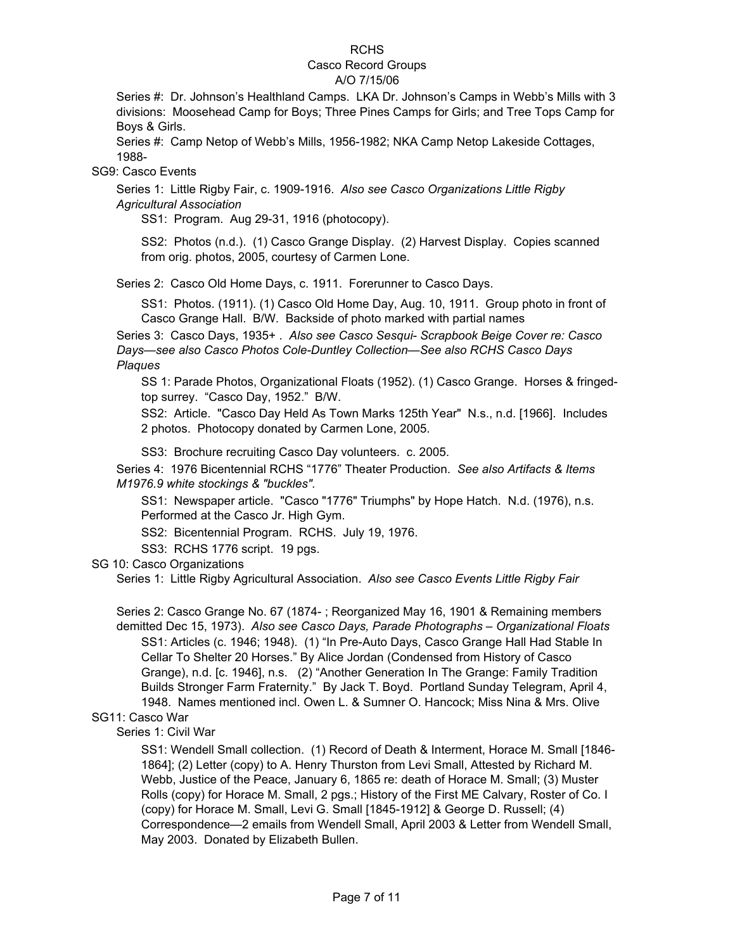# RCHS

# Casco Record Groups

# A/O 7/15/06

Series #: Dr. Johnson's Healthland Camps. LKA Dr. Johnson's Camps in Webb's Mills with 3 divisions: Moosehead Camp for Boys; Three Pines Camps for Girls; and Tree Tops Camp for Boys & Girls.

Series #: Camp Netop of Webb's Mills, 1956-1982; NKA Camp Netop Lakeside Cottages, 1988-

SG9: Casco Events

Series 1: Little Rigby Fair, c. 1909-1916. *Also see Casco Organizations Little Rigby Agricultural Association*

SS1: Program. Aug 29-31, 1916 (photocopy).

SS2: Photos (n.d.). (1) Casco Grange Display. (2) Harvest Display. Copies scanned from orig. photos, 2005, courtesy of Carmen Lone.

Series 2: Casco Old Home Days, c. 1911. Forerunner to Casco Days.

SS1: Photos. (1911). (1) Casco Old Home Day, Aug. 10, 1911. Group photo in front of Casco Grange Hall. B/W. Backside of photo marked with partial names

Series 3: Casco Days, 1935+ . *Also see Casco Sesqui- Scrapbook Beige Cover re: Casco Days—see also Casco Photos Cole-Duntley Collection—See also RCHS Casco Days Plaques* 

SS 1: Parade Photos, Organizational Floats (1952). (1) Casco Grange. Horses & fringedtop surrey. "Casco Day, 1952." B/W.

SS2: Article. "Casco Day Held As Town Marks 125th Year" N.s., n.d. [1966]. Includes 2 photos. Photocopy donated by Carmen Lone, 2005.

SS3: Brochure recruiting Casco Day volunteers. c. 2005.

Series 4: 1976 Bicentennial RCHS "1776" Theater Production. *See also Artifacts & Items M1976.9 white stockings & "buckles".*

SS1: Newspaper article. "Casco "1776" Triumphs" by Hope Hatch. N.d. (1976), n.s. Performed at the Casco Jr. High Gym.

SS2: Bicentennial Program. RCHS. July 19, 1976.

SS3: RCHS 1776 script. 19 pgs.

SG 10: Casco Organizations

Series 1: Little Rigby Agricultural Association. *Also see Casco Events Little Rigby Fair*

Series 2: Casco Grange No. 67 (1874- ; Reorganized May 16, 1901 & Remaining members demitted Dec 15, 1973). *Also see Casco Days, Parade Photographs – Organizational Floats* SS1: Articles (c. 1946; 1948). (1) "In Pre-Auto Days, Casco Grange Hall Had Stable In Cellar To Shelter 20 Horses." By Alice Jordan (Condensed from History of Casco Grange), n.d. [c. 1946], n.s. (2) "Another Generation In The Grange: Family Tradition Builds Stronger Farm Fraternity." By Jack T. Boyd. Portland Sunday Telegram, April 4, 1948. Names mentioned incl. Owen L. & Sumner O. Hancock; Miss Nina & Mrs. Olive

### SG11: Casco War

Series 1: Civil War

SS1: Wendell Small collection. (1) Record of Death & Interment, Horace M. Small [1846- 1864]; (2) Letter (copy) to A. Henry Thurston from Levi Small, Attested by Richard M. Webb, Justice of the Peace, January 6, 1865 re: death of Horace M. Small; (3) Muster Rolls (copy) for Horace M. Small, 2 pgs.; History of the First ME Calvary, Roster of Co. I (copy) for Horace M. Small, Levi G. Small [1845-1912] & George D. Russell; (4) Correspondence—2 emails from Wendell Small, April 2003 & Letter from Wendell Small, May 2003. Donated by Elizabeth Bullen.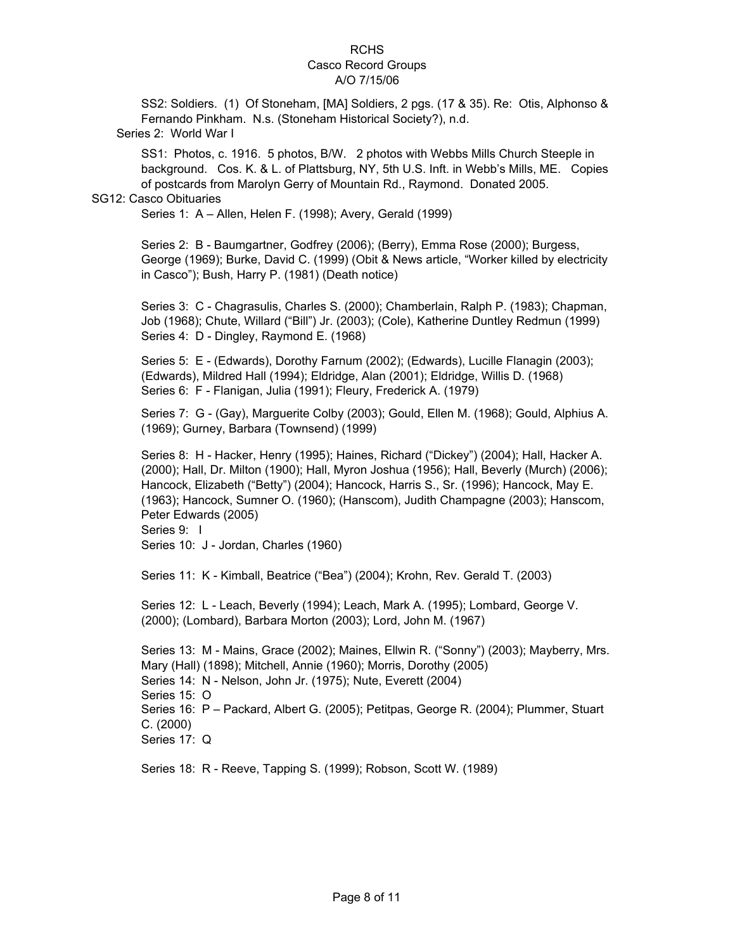SS2: Soldiers. (1) Of Stoneham, [MA] Soldiers, 2 pgs. (17 & 35). Re: Otis, Alphonso & Fernando Pinkham. N.s. (Stoneham Historical Society?), n.d. Series 2: World War I

SS1: Photos, c. 1916. 5 photos, B/W. 2 photos with Webbs Mills Church Steeple in background. Cos. K. & L. of Plattsburg, NY, 5th U.S. Inft. in Webb's Mills, ME. Copies of postcards from Marolyn Gerry of Mountain Rd., Raymond. Donated 2005.

#### SG12: Casco Obituaries

Series 1: A – Allen, Helen F. (1998); Avery, Gerald (1999)

Series 2: B - Baumgartner, Godfrey (2006); (Berry), Emma Rose (2000); Burgess, George (1969); Burke, David C. (1999) (Obit & News article, "Worker killed by electricity in Casco"); Bush, Harry P. (1981) (Death notice)

Series 3: C - Chagrasulis, Charles S. (2000); Chamberlain, Ralph P. (1983); Chapman, Job (1968); Chute, Willard ("Bill") Jr. (2003); (Cole), Katherine Duntley Redmun (1999) Series 4: D - Dingley, Raymond E. (1968)

Series 5: E - (Edwards), Dorothy Farnum (2002); (Edwards), Lucille Flanagin (2003); (Edwards), Mildred Hall (1994); Eldridge, Alan (2001); Eldridge, Willis D. (1968) Series 6: F - Flanigan, Julia (1991); Fleury, Frederick A. (1979)

Series 7: G - (Gay), Marguerite Colby (2003); Gould, Ellen M. (1968); Gould, Alphius A. (1969); Gurney, Barbara (Townsend) (1999)

Series 8: H - Hacker, Henry (1995); Haines, Richard ("Dickey") (2004); Hall, Hacker A. (2000); Hall, Dr. Milton (1900); Hall, Myron Joshua (1956); Hall, Beverly (Murch) (2006); Hancock, Elizabeth ("Betty") (2004); Hancock, Harris S., Sr. (1996); Hancock, May E. (1963); Hancock, Sumner O. (1960); (Hanscom), Judith Champagne (2003); Hanscom, Peter Edwards (2005) Series 9: 1

Series 10: J - Jordan, Charles (1960)

Series 11: K - Kimball, Beatrice ("Bea") (2004); Krohn, Rev. Gerald T. (2003)

Series 12: L - Leach, Beverly (1994); Leach, Mark A. (1995); Lombard, George V. (2000); (Lombard), Barbara Morton (2003); Lord, John M. (1967)

Series 15: O Series 16: P – Packard, Albert G. (2005); Petitpas, George R. (2004); Plummer, Stuart C. (2000) Series 17: Q Series 13: M - Mains, Grace (2002); Maines, Ellwin R. ("Sonny") (2003); Mayberry, Mrs. Mary (Hall) (1898); Mitchell, Annie (1960); Morris, Dorothy (2005) Series 14: N - Nelson, John Jr. (1975); Nute, Everett (2004)

Series 18: R - Reeve, Tapping S. (1999); Robson, Scott W. (1989)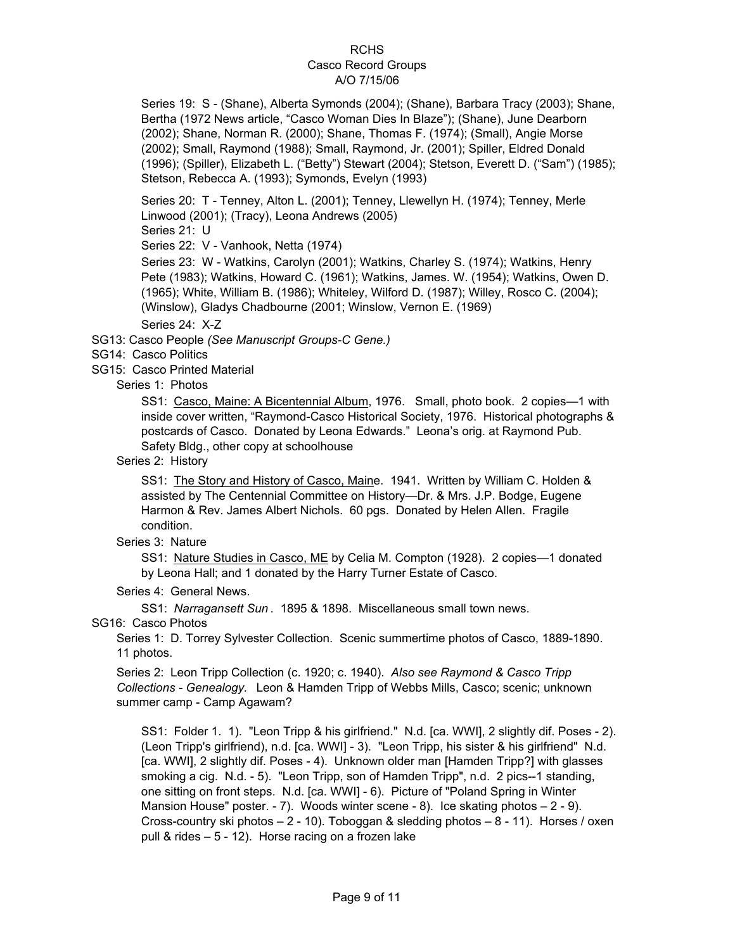Series 19: S - (Shane), Alberta Symonds (2004); (Shane), Barbara Tracy (2003); Shane, Bertha (1972 News article, "Casco Woman Dies In Blaze"); (Shane), June Dearborn (2002); Shane, Norman R. (2000); Shane, Thomas F. (1974); (Small), Angie Morse (2002); Small, Raymond (1988); Small, Raymond, Jr. (2001); Spiller, Eldred Donald (1996); (Spiller), Elizabeth L. ("Betty") Stewart (2004); Stetson, Everett D. ("Sam") (1985); Stetson, Rebecca A. (1993); Symonds, Evelyn (1993)

Series 20: T - Tenney, Alton L. (2001); Tenney, Llewellyn H. (1974); Tenney, Merle Linwood (2001); (Tracy), Leona Andrews (2005)

Series 21: U

Series 22: V - Vanhook, Netta (1974)

Series 23: W - Watkins, Carolyn (2001); Watkins, Charley S. (1974); Watkins, Henry Pete (1983); Watkins, Howard C. (1961); Watkins, James. W. (1954); Watkins, Owen D. (1965); White, William B. (1986); Whiteley, Wilford D. (1987); Willey, Rosco C. (2004); (Winslow), Gladys Chadbourne (2001; Winslow, Vernon E. (1969)

Series 24: X-Z

SG13: Casco People *(See Manuscript Groups-C Gene.)*

SG14: Casco Politics

SG15: Casco Printed Material

Series 1: Photos

SS1: Casco, Maine: A Bicentennial Album, 1976. Small, photo book. 2 copies—1 with inside cover written, "Raymond-Casco Historical Society, 1976. Historical photographs & postcards of Casco. Donated by Leona Edwards." Leona's orig. at Raymond Pub. Safety Bldg., other copy at schoolhouse

Series 2: History

SS1: The Story and History of Casco, Maine. 1941. Written by William C. Holden & assisted by The Centennial Committee on History—Dr. & Mrs. J.P. Bodge, Eugene Harmon & Rev. James Albert Nichols. 60 pgs. Donated by Helen Allen. Fragile condition.

Series 3: Nature

SS1: Nature Studies in Casco, ME by Celia M. Compton (1928). 2 copies—1 donated by Leona Hall; and 1 donated by the Harry Turner Estate of Casco.

Series 4: General News.

SS1: *Narragansett Sun* . 1895 & 1898. Miscellaneous small town news.

SG16: Casco Photos

Series 1: D. Torrey Sylvester Collection. Scenic summertime photos of Casco, 1889-1890. 11 photos.

Series 2: Leon Tripp Collection (c. 1920; c. 1940). *Also see Raymond & Casco Tripp Collections - Genealogy.* Leon & Hamden Tripp of Webbs Mills, Casco; scenic; unknown summer camp - Camp Agawam?

SS1: Folder 1. 1). "Leon Tripp & his girlfriend." N.d. [ca. WWI], 2 slightly dif. Poses - 2). (Leon Tripp's girlfriend), n.d. [ca. WWI] - 3). "Leon Tripp, his sister & his girlfriend" N.d. [ca. WWI], 2 slightly dif. Poses - 4). Unknown older man [Hamden Tripp?] with glasses smoking a cig. N.d. - 5). "Leon Tripp, son of Hamden Tripp", n.d. 2 pics--1 standing, one sitting on front steps. N.d. [ca. WWI] - 6). Picture of "Poland Spring in Winter Mansion House" poster. - 7). Woods winter scene - 8). Ice skating photos – 2 - 9). Cross-country ski photos  $-2 - 10$ ). Toboggan & sledding photos  $-8 - 11$ ). Horses / oxen pull & rides – 5 - 12). Horse racing on a frozen lake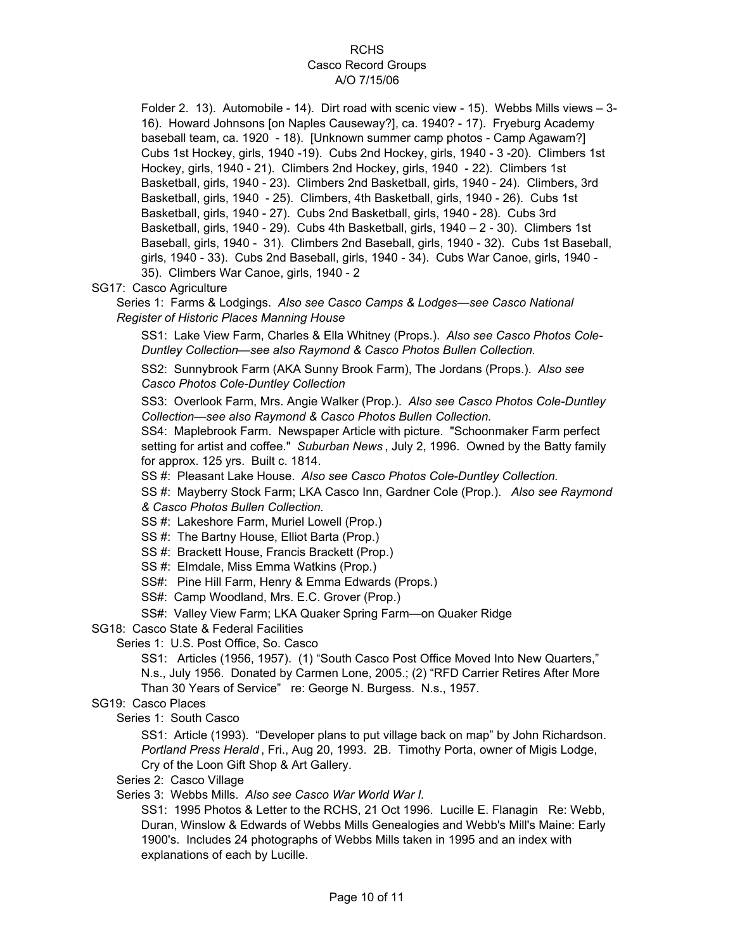Folder 2. 13). Automobile - 14). Dirt road with scenic view - 15). Webbs Mills views – 3- 16). Howard Johnsons [on Naples Causeway?], ca. 1940? - 17). Fryeburg Academy baseball team, ca. 1920 - 18). [Unknown summer camp photos - Camp Agawam?] Cubs 1st Hockey, girls, 1940 -19). Cubs 2nd Hockey, girls, 1940 - 3 -20). Climbers 1st Hockey, girls, 1940 - 21). Climbers 2nd Hockey, girls, 1940 - 22). Climbers 1st Basketball, girls, 1940 - 23). Climbers 2nd Basketball, girls, 1940 - 24). Climbers, 3rd Basketball, girls, 1940 - 25). Climbers, 4th Basketball, girls, 1940 - 26). Cubs 1st Basketball, girls, 1940 - 27). Cubs 2nd Basketball, girls, 1940 - 28). Cubs 3rd Basketball, girls, 1940 - 29). Cubs 4th Basketball, girls, 1940 – 2 - 30). Climbers 1st Baseball, girls, 1940 - 31). Climbers 2nd Baseball, girls, 1940 - 32). Cubs 1st Baseball, girls, 1940 - 33). Cubs 2nd Baseball, girls, 1940 - 34). Cubs War Canoe, girls, 1940 - 35). Climbers War Canoe, girls, 1940 - 2

SG17: Casco Agriculture

Series 1: Farms & Lodgings. *Also see Casco Camps & Lodges—see Casco National Register of Historic Places Manning House*

SS1: Lake View Farm, Charles & Ella Whitney (Props.). *Also see Casco Photos Cole-Duntley Collection—see also Raymond & Casco Photos Bullen Collection.*

SS2: Sunnybrook Farm (AKA Sunny Brook Farm), The Jordans (Props.). *Also see Casco Photos Cole-Duntley Collection*

SS3: Overlook Farm, Mrs. Angie Walker (Prop.). *Also see Casco Photos Cole-Duntley Collection—see also Raymond & Casco Photos Bullen Collection.*

SS4: Maplebrook Farm. Newspaper Article with picture. "Schoonmaker Farm perfect setting for artist and coffee." *Suburban News* , July 2, 1996. Owned by the Batty family for approx. 125 yrs. Built c. 1814.

SS #: Pleasant Lake House. *Also see Casco Photos Cole-Duntley Collection.*

SS #: Mayberry Stock Farm; LKA Casco Inn, Gardner Cole (Prop.). *Also see Raymond & Casco Photos Bullen Collection.*

SS #: Lakeshore Farm, Muriel Lowell (Prop.)

- SS #: The Bartny House, Elliot Barta (Prop.)
- SS #: Brackett House, Francis Brackett (Prop.)
- SS #: Elmdale, Miss Emma Watkins (Prop.)
- SS#: Pine Hill Farm, Henry & Emma Edwards (Props.)
- SS#: Camp Woodland, Mrs. E.C. Grover (Prop.)

SS#: Valley View Farm; LKA Quaker Spring Farm—on Quaker Ridge

SG18: Casco State & Federal Facilities

Series 1: U.S. Post Office, So. Casco

SS1: Articles (1956, 1957). (1) "South Casco Post Office Moved Into New Quarters,"

N.s., July 1956. Donated by Carmen Lone, 2005.; (2) "RFD Carrier Retires After More

Than 30 Years of Service" re: George N. Burgess. N.s., 1957.

SG19: Casco Places

Series 1: South Casco

SS1: Article (1993). "Developer plans to put village back on map" by John Richardson. *Portland Press Herald* , Fri., Aug 20, 1993. 2B. Timothy Porta, owner of Migis Lodge, Cry of the Loon Gift Shop & Art Gallery.

Series 2: Casco Village

Series 3: Webbs Mills. *Also see Casco War World War I.*

SS1: 1995 Photos & Letter to the RCHS, 21 Oct 1996. Lucille E. Flanagin Re: Webb, Duran, Winslow & Edwards of Webbs Mills Genealogies and Webb's Mill's Maine: Early 1900's. Includes 24 photographs of Webbs Mills taken in 1995 and an index with explanations of each by Lucille.